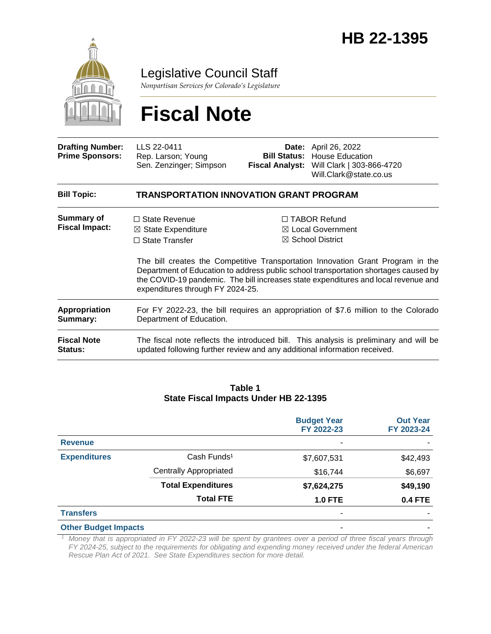

Legislative Council Staff

*Nonpartisan Services for Colorado's Legislature*

# **Fiscal Note**

| <b>Drafting Number:</b><br><b>Prime Sponsors:</b> | LLS 22-0411<br>Rep. Larson; Young<br>Sen. Zenzinger; Simpson                                                                                                        | <b>Bill Status:</b> | <b>Date:</b> April 26, 2022<br><b>House Education</b><br>Fiscal Analyst: Will Clark   303-866-4720<br>Will.Clark@state.co.us                                                                                                                                                                                                                  |  |  |
|---------------------------------------------------|---------------------------------------------------------------------------------------------------------------------------------------------------------------------|---------------------|-----------------------------------------------------------------------------------------------------------------------------------------------------------------------------------------------------------------------------------------------------------------------------------------------------------------------------------------------|--|--|
| <b>Bill Topic:</b>                                | TRANSPORTATION INNOVATION GRANT PROGRAM                                                                                                                             |                     |                                                                                                                                                                                                                                                                                                                                               |  |  |
| Summary of<br><b>Fiscal Impact:</b>               | $\Box$ State Revenue<br>$\boxtimes$ State Expenditure<br>$\Box$ State Transfer<br>expenditures through FY 2024-25.                                                  |                     | □ TABOR Refund<br>$\boxtimes$ Local Government<br>$\boxtimes$ School District<br>The bill creates the Competitive Transportation Innovation Grant Program in the<br>Department of Education to address public school transportation shortages caused by<br>the COVID-19 pandemic. The bill increases state expenditures and local revenue and |  |  |
| Appropriation<br>Summary:                         | For FY 2022-23, the bill requires an appropriation of \$7.6 million to the Colorado<br>Department of Education.                                                     |                     |                                                                                                                                                                                                                                                                                                                                               |  |  |
| <b>Fiscal Note</b><br>Status:                     | The fiscal note reflects the introduced bill. This analysis is preliminary and will be<br>updated following further review and any additional information received. |                     |                                                                                                                                                                                                                                                                                                                                               |  |  |

#### **Table 1 State Fiscal Impacts Under HB 22-1395**

|                             |                               | <b>Budget Year</b><br>FY 2022-23 | <b>Out Year</b><br>FY 2023-24 |
|-----------------------------|-------------------------------|----------------------------------|-------------------------------|
| <b>Revenue</b>              |                               | ۰                                |                               |
| <b>Expenditures</b>         | Cash Funds <sup>1</sup>       | \$7,607,531                      | \$42,493                      |
|                             | <b>Centrally Appropriated</b> | \$16,744                         | \$6,697                       |
|                             | <b>Total Expenditures</b>     | \$7,624,275                      | \$49,190                      |
|                             | <b>Total FTE</b>              | <b>1.0 FTE</b>                   | <b>0.4 FTE</b>                |
| <b>Transfers</b>            |                               | ۰                                |                               |
| <b>Other Budget Impacts</b> |                               | ٠                                |                               |

*<sup>1</sup> Money that is appropriated in FY 2022-23 will be spent by grantees over a period of three fiscal years through FY 2024-25, subject to the requirements for obligating and expending money received under the federal American Rescue Plan Act of 2021. See State Expenditures section for more detail.*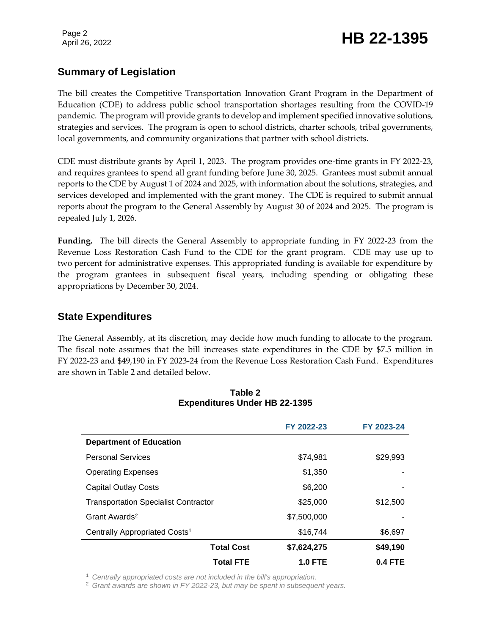## April 26, 2022 **HB 22-1395**

### **Summary of Legislation**

The bill creates the Competitive Transportation Innovation Grant Program in the Department of Education (CDE) to address public school transportation shortages resulting from the COVID-19 pandemic. The program will provide grants to develop and implement specified innovative solutions, strategies and services. The program is open to school districts, charter schools, tribal governments, local governments, and community organizations that partner with school districts.

CDE must distribute grants by April 1, 2023. The program provides one-time grants in FY 2022-23, and requires grantees to spend all grant funding before June 30, 2025. Grantees must submit annual reports to the CDE by August 1 of 2024 and 2025, with information about the solutions, strategies, and services developed and implemented with the grant money. The CDE is required to submit annual reports about the program to the General Assembly by August 30 of 2024 and 2025. The program is repealed July 1, 2026.

**Funding.** The bill directs the General Assembly to appropriate funding in FY 2022-23 from the Revenue Loss Restoration Cash Fund to the CDE for the grant program. CDE may use up to two percent for administrative expenses. This appropriated funding is available for expenditure by the program grantees in subsequent fiscal years, including spending or obligating these appropriations by December 30, 2024.

### **State Expenditures**

The General Assembly, at its discretion, may decide how much funding to allocate to the program. The fiscal note assumes that the bill increases state expenditures in the CDE by \$7.5 million in FY 2022-23 and \$49,190 in FY 2023-24 from the Revenue Loss Restoration Cash Fund. Expenditures are shown in Table 2 and detailed below.

|                                             | FY 2022-23     | FY 2023-24 |
|---------------------------------------------|----------------|------------|
| <b>Department of Education</b>              |                |            |
| <b>Personal Services</b>                    | \$74,981       | \$29,993   |
| <b>Operating Expenses</b>                   | \$1,350        |            |
| <b>Capital Outlay Costs</b>                 | \$6,200        |            |
| <b>Transportation Specialist Contractor</b> | \$25,000       | \$12,500   |
| Grant Awards <sup>2</sup>                   | \$7,500,000    |            |
| Centrally Appropriated Costs <sup>1</sup>   | \$16,744       | \$6,697    |
| <b>Total Cost</b>                           | \$7,624,275    | \$49,190   |
| <b>Total FTE</b>                            | <b>1.0 FTE</b> | $0.4$ FTE  |

#### **Table 2 Expenditures Under HB 22-1395**

<sup>1</sup> *Centrally appropriated costs are not included in the bill's appropriation.*

<sup>2</sup> *Grant awards are shown in FY 2022-23, but may be spent in subsequent years.*